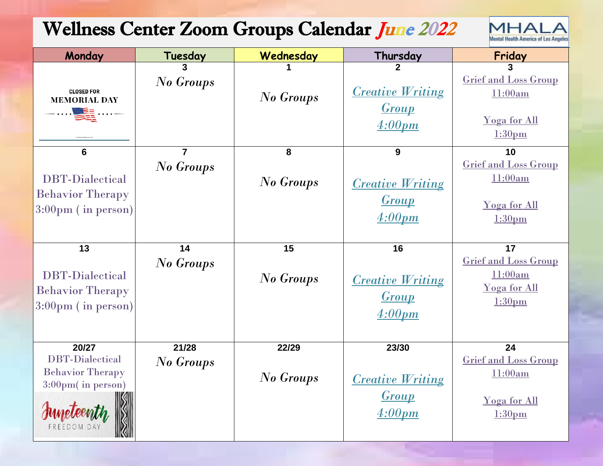# Wellness Center Zoom Groups Calendar June 2022



|  | Monday                                                                                                                                 | Tuesday                                  | Wednesday                          | Thursday                                                                                                                        | Friday                                                                                                                                                                           |
|--|----------------------------------------------------------------------------------------------------------------------------------------|------------------------------------------|------------------------------------|---------------------------------------------------------------------------------------------------------------------------------|----------------------------------------------------------------------------------------------------------------------------------------------------------------------------------|
|  | <b>CLOSED FOR</b><br><b>MEMORIAL DAY</b><br><b>LEE</b><br>6<br><b>DBT-Dialectical</b><br><b>Behavior Therapy</b><br>3:00pm (in person) | No Groups<br>$\overline{7}$<br>No Groups | No Groups<br>8<br><b>No Groups</b> | <b>Creative Writing</b><br><b>Group</b><br>$4:00 \text{pm}$<br>9<br><b>Creative Writing</b><br><b>Group</b><br>$4:00 \text{pm}$ | <b>Grief and Loss Group</b><br>11:00am<br><b>Yoga for All</b><br>1:30 <sub>pm</sub><br>10<br><b>Grief and Loss Group</b><br>11:00am<br><b>Yoga for All</b><br>1:30 <sub>pm</sub> |
|  | 13<br><b>DBT-Dialectical</b><br><b>Behavior Therapy</b><br>$3:00 \text{pm}$ (in person)                                                | 14<br>No Groups                          | 15<br>No Groups                    | 16<br><b>Creative Writing</b><br><b>Group</b><br>$4:00 \text{pm}$                                                               | $\overline{17}$<br><b>Grief and Loss Group</b><br>11:00am<br>Yoga for All<br>1:30 <sub>pm</sub>                                                                                  |
|  | 20/27<br><b>DBT-Dialectical</b><br><b>Behavior Therapy</b><br>3:00pm(in person)                                                        | 21/28<br>No Groups                       | 22/29<br>No Groups                 | 23/30<br><b>Creative Writing</b><br><b>Group</b><br>4:00pm                                                                      | 24<br><b>Grief and Loss Group</b><br>11:00am<br>Yoga for All<br>1:30 <sub>pm</sub>                                                                                               |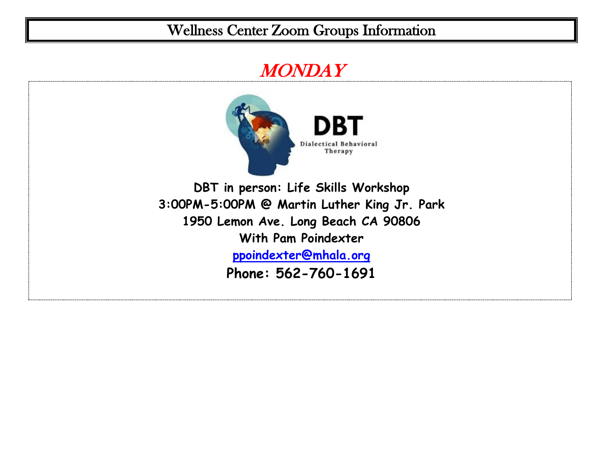#### Wellness Center Zoom Groups Information

### **MONDAY**



**3:00PM-5:00PM @ Martin Luther King Jr. Park 1950 Lemon Ave. Long Beach CA 90806 With Pam Poindexter [ppoindexter@mhala.org](mailto:ppoindexter@mhala.org) Phone: 562-760-1691**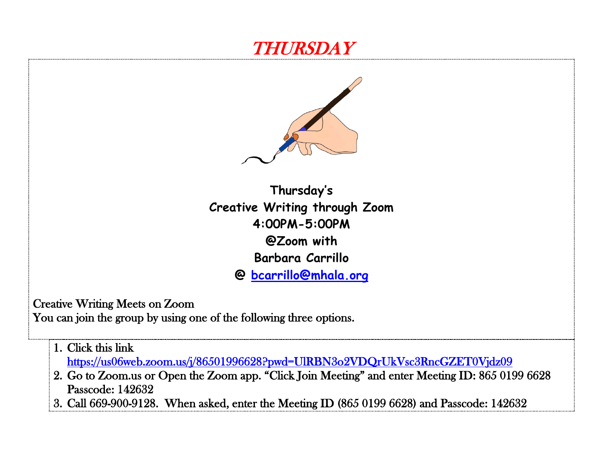## THURSDAY



**Thursday's Creative Writing through Zoom 4:00PM-5:00PM @Zoom with Barbara Carrillo @ [bcarrillo@mhala.org](mailto:bcarrillo@mhala.org)**

Creative Writing Meets on Zoom

You can join the group by using one of the following three options.

1. Click this link

<https://us06web.zoom.us/j/86501996628?pwd=UlRBN3o2VDQrUkVsc3RncGZET0Vjdz09>

- 2. Go to Zoom.us or Open the Zoom app. "Click Join Meeting" and enter Meeting ID: 865 0199 6628 Passcode: 142632
- 3. Call 669-900-9128. When asked, enter the Meeting ID (865 0199 6628) and Passcode: 142632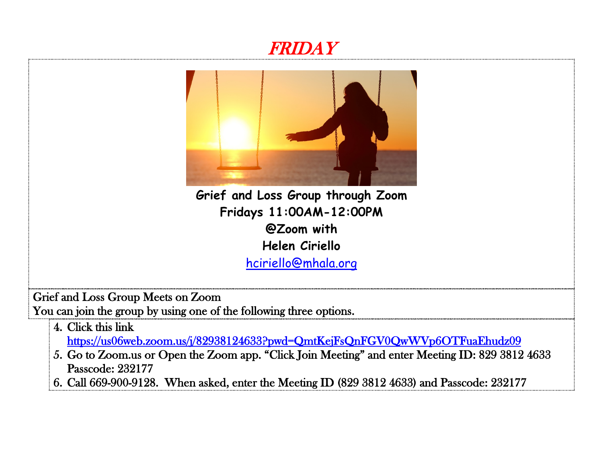# FRIDAY



**Grief and Loss Group through Zoom Fridays 11:00AM-12:00PM @Zoom with Helen Ciriello** [hciriello@mhala.org](mailto:hciriello@mhala.org)

Grief and Loss Group Meets on Zoom You can join the group by using one of the following three options.

- 4. Click this link <https://us06web.zoom.us/j/82938124633?pwd=QmtKejFsQnFGV0QwWVp6OTFuaEhudz09>
- 5. Go to Zoom.us or Open the Zoom app. "Click Join Meeting" and enter Meeting ID: 829 3812 4633 Passcode: 232177
- 6. Call 669-900-9128. When asked, enter the Meeting ID (829 3812 4633) and Passcode: 232177